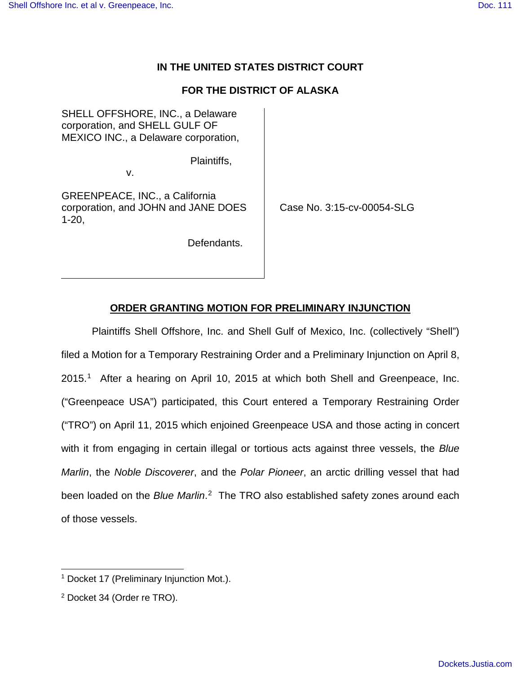## **IN THE UNITED STATES DISTRICT COURT**

# **FOR THE DISTRICT OF ALASKA**

SHELL OFFSHORE, INC., a Delaware corporation, and SHELL GULF OF MEXICO INC., a Delaware corporation,

Plaintiffs,

v.

GREENPEACE, INC., a California corporation, and JOHN and JANE DOES 1-20,

Case No. 3:15-cv-00054-SLG

Defendants.

## **ORDER GRANTING MOTION FOR PRELIMINARY INJUNCTION**

Plaintiffs Shell Offshore, Inc. and Shell Gulf of Mexico, Inc. (collectively "Shell") filed a Motion for a Temporary Restraining Order and a Preliminary Injunction on April 8, 2015. [1](#page-0-0) After a hearing on April 10, 2015 at which both Shell and Greenpeace, Inc. ("Greenpeace USA") participated, this Court entered a Temporary Restraining Order ("TRO") on April 11, 2015 which enjoined Greenpeace USA and those acting in concert with it from engaging in certain illegal or tortious acts against three vessels, the Blue Marlin, the Noble Discoverer, and the Polar Pioneer, an arctic drilling vessel that had been loaded on the Blue Marlin.<sup>[2](#page-0-1)</sup> The TRO also established safety zones around each of those vessels.

<span id="page-0-0"></span><sup>&</sup>lt;sup>1</sup> Docket 17 (Preliminary Injunction Mot.). -

<span id="page-0-1"></span><sup>2</sup> Docket 34 (Order re TRO).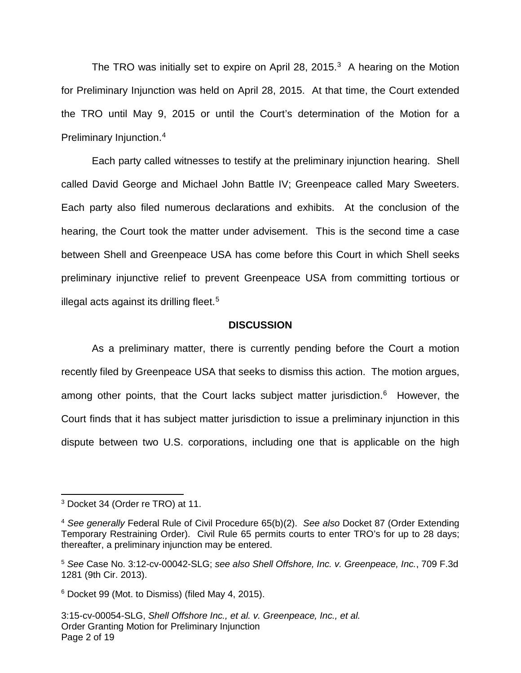The TRO was initially set to expire on April 28, 2015. $3$  A hearing on the Motion for Preliminary Injunction was held on April 28, 2015. At that time, the Court extended the TRO until May 9, 2015 or until the Court's determination of the Motion for a Preliminary Injunction.<sup>[4](#page-1-1)</sup>

Each party called witnesses to testify at the preliminary injunction hearing. Shell called David George and Michael John Battle IV; Greenpeace called Mary Sweeters. Each party also filed numerous declarations and exhibits. At the conclusion of the hearing, the Court took the matter under advisement. This is the second time a case between Shell and Greenpeace USA has come before this Court in which Shell seeks preliminary injunctive relief to prevent Greenpeace USA from committing tortious or illegal acts against its drilling fleet.<sup>[5](#page-1-2)</sup>

#### **DISCUSSION**

As a preliminary matter, there is currently pending before the Court a motion recently filed by Greenpeace USA that seeks to dismiss this action. The motion argues, among other points, that the Court lacks subject matter jurisdiction.<sup>[6](#page-1-3)</sup> However, the Court finds that it has subject matter jurisdiction to issue a preliminary injunction in this dispute between two U.S. corporations, including one that is applicable on the high

<span id="page-1-0"></span><sup>3</sup> Docket 34 (Order re TRO) at 11.

<span id="page-1-1"></span><sup>&</sup>lt;sup>4</sup> See generally Federal Rule of Civil Procedure 65(b)(2). See also Docket 87 (Order Extending Temporary Restraining Order). Civil Rule 65 permits courts to enter TRO's for up to 28 days; thereafter, a preliminary injunction may be entered.

<span id="page-1-2"></span><sup>5</sup> See Case No. 3:12-cv-00042-SLG; see also Shell Offshore, Inc. v. Greenpeace, Inc., 709 F.3d 1281 (9th Cir. 2013).

<span id="page-1-3"></span><sup>6</sup> Docket 99 (Mot. to Dismiss) (filed May 4, 2015).

<sup>3:15-</sup>cv-00054-SLG, Shell Offshore Inc., et al. v. Greenpeace, Inc., et al. Order Granting Motion for Preliminary Injunction Page 2 of 19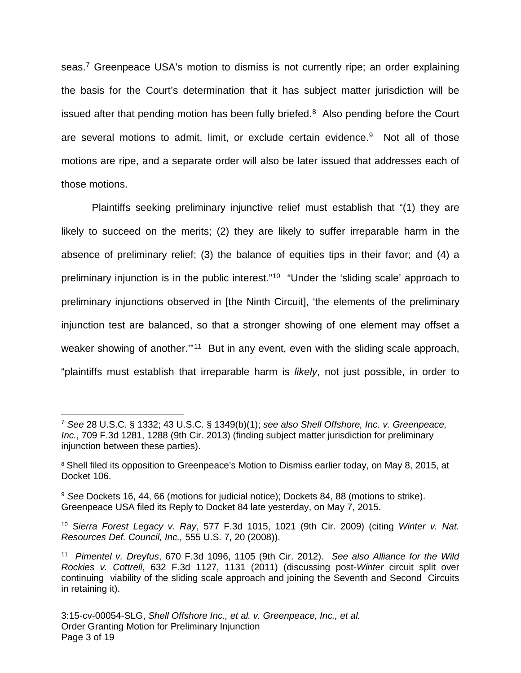seas.<sup>[7](#page-2-0)</sup> Greenpeace USA's motion to dismiss is not currently ripe; an order explaining the basis for the Court's determination that it has subject matter jurisdiction will be issued after that pending motion has been fully briefed. $8$  Also pending before the Court are several motions to admit, limit, or exclude certain evidence.<sup>[9](#page-2-2)</sup> Not all of those motions are ripe, and a separate order will also be later issued that addresses each of those motions.

Plaintiffs seeking preliminary injunctive relief must establish that "(1) they are likely to succeed on the merits; (2) they are likely to suffer irreparable harm in the absence of preliminary relief; (3) the balance of equities tips in their favor; and (4) a preliminary injunction is in the public interest."<sup>[10](#page-2-3)</sup> "Under the 'sliding scale' approach to preliminary injunctions observed in [the Ninth Circuit], 'the elements of the preliminary injunction test are balanced, so that a stronger showing of one element may offset a weaker showing of another."<sup>[11](#page-2-4)</sup> But in any event, even with the sliding scale approach, "plaintiffs must establish that irreparable harm is likely, not just possible, in order to

<span id="page-2-0"></span> $^7$  See 28 U.S.C. § 1332; 43 U.S.C. § 1349(b)(1); see also Shell Offshore, Inc. v. Greenpeace, Inc., 709 F.3d 1281, 1288 (9th Cir. 2013) (finding subject matter jurisdiction for preliminary injunction between these parties).

<span id="page-2-1"></span><sup>&</sup>lt;sup>8</sup> Shell filed its opposition to Greenpeace's Motion to Dismiss earlier today, on May 8, 2015, at Docket 106.

<span id="page-2-2"></span><sup>9</sup> See Dockets 16, 44, 66 (motions for judicial notice); Dockets 84, 88 (motions to strike). Greenpeace USA filed its Reply to Docket 84 late yesterday, on May 7, 2015.

<span id="page-2-3"></span><sup>&</sup>lt;sup>10</sup> Sierra Forest Legacy v. Ray, 577 F.3d 1015, 1021 (9th Cir. 2009) (citing Winter v. Nat. Resources Def. Council, Inc., 555 U.S. 7, 20 (2008)).

<span id="page-2-4"></span><sup>&</sup>lt;sup>11</sup> Pimentel v. Dreyfus, 670 F.3d 1096, 1105 (9th Cir. 2012). See also Alliance for the Wild Rockies v. Cottrell, 632 F.3d 1127, 1131 (2011) (discussing post-Winter circuit split over continuing viability of the sliding scale approach and joining the Seventh and Second Circuits in retaining it).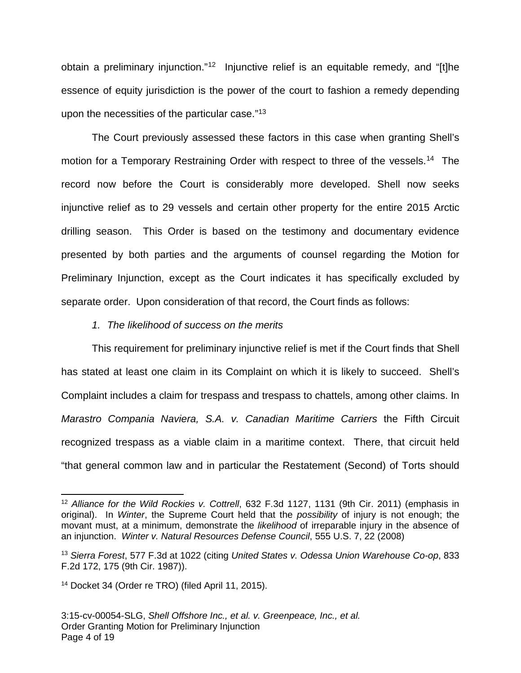obtain a preliminary injunction."<sup>[12](#page-3-0)</sup> Injunctive relief is an equitable remedy, and "[t]he essence of equity jurisdiction is the power of the court to fashion a remedy depending upon the necessities of the particular case."[13](#page-3-1)

The Court previously assessed these factors in this case when granting Shell's motion for a Temporary Restraining Order with respect to three of the vessels.<sup>[14](#page-3-2)</sup> The record now before the Court is considerably more developed. Shell now seeks injunctive relief as to 29 vessels and certain other property for the entire 2015 Arctic drilling season. This Order is based on the testimony and documentary evidence presented by both parties and the arguments of counsel regarding the Motion for Preliminary Injunction, except as the Court indicates it has specifically excluded by separate order. Upon consideration of that record, the Court finds as follows:

#### 1. The likelihood of success on the merits

This requirement for preliminary injunctive relief is met if the Court finds that Shell has stated at least one claim in its Complaint on which it is likely to succeed. Shell's Complaint includes a claim for trespass and trespass to chattels, among other claims. In Marastro Compania Naviera, S.A. v. Canadian Maritime Carriers the Fifth Circuit recognized trespass as a viable claim in a maritime context. There, that circuit held "that general common law and in particular the Restatement (Second) of Torts should

<span id="page-3-0"></span><sup>&</sup>lt;sup>12</sup> Alliance for the Wild Rockies v. Cottrell, 632 F.3d 1127, 1131 (9th Cir. 2011) (emphasis in original). In Winter, the Supreme Court held that the possibility of injury is not enough; the movant must, at a minimum, demonstrate the *likelihood* of irreparable injury in the absence of an injunction. Winter v. Natural Resources Defense Council, 555 U.S. 7, 22 (2008)

<span id="page-3-1"></span><sup>&</sup>lt;sup>13</sup> Sierra Forest, 577 F.3d at 1022 (citing United States v. Odessa Union Warehouse Co-op, 833 F.2d 172, 175 (9th Cir. 1987)).

<span id="page-3-2"></span><sup>14</sup> Docket 34 (Order re TRO) (filed April 11, 2015).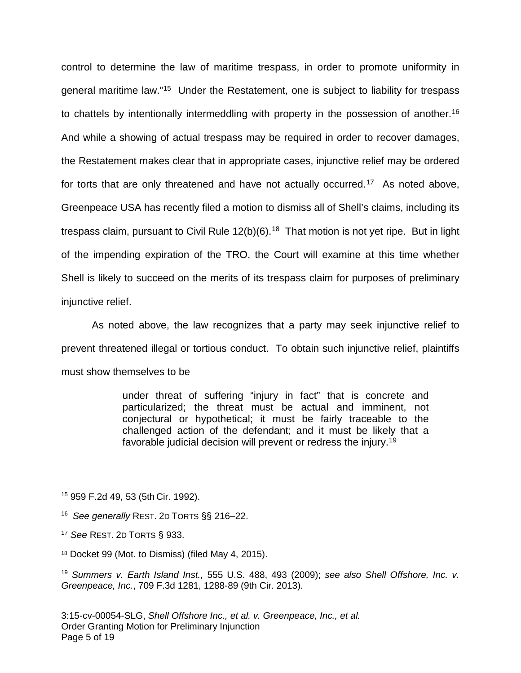control to determine the law of maritime trespass, in order to promote uniformity in general maritime law."<sup>[15](#page-4-0)</sup> Under the Restatement, one is subject to liability for trespass to chattels by intentionally intermeddling with property in the possession of another.<sup>[16](#page-4-1)</sup> And while a showing of actual trespass may be required in order to recover damages, the Restatement makes clear that in appropriate cases, injunctive relief may be ordered for torts that are only threatened and have not actually occurred.<sup>[17](#page-4-2)</sup> As noted above, Greenpeace USA has recently filed a motion to dismiss all of Shell's claims, including its trespass claim, pursuant to Civil Rule  $12(b)(6)$ .<sup>[18](#page-4-3)</sup> That motion is not yet ripe. But in light of the impending expiration of the TRO, the Court will examine at this time whether Shell is likely to succeed on the merits of its trespass claim for purposes of preliminary injunctive relief.

As noted above, the law recognizes that a party may seek injunctive relief to prevent threatened illegal or tortious conduct. To obtain such injunctive relief, plaintiffs must show themselves to be

> under threat of suffering "injury in fact" that is concrete and particularized; the threat must be actual and imminent, not conjectural or hypothetical; it must be fairly traceable to the challenged action of the defendant; and it must be likely that a favorable judicial decision will prevent or redress the injury.<sup>[19](#page-4-4)</sup>

<span id="page-4-0"></span><sup>15</sup> 959 F.2d 49, 53 (5th Cir. 1992).

<span id="page-4-1"></span><sup>&</sup>lt;sup>16</sup> See generally REST. 2D TORTS §§ 216-22.

<span id="page-4-2"></span><sup>&</sup>lt;sup>17</sup> See REST. 2D TORTS § 933.

<span id="page-4-3"></span><sup>18</sup> Docket 99 (Mot. to Dismiss) (filed May 4, 2015).

<span id="page-4-4"></span><sup>19</sup> Summers v. Earth Island Inst., 555 U.S. 488, 493 (2009); see also Shell Offshore, Inc. v. Greenpeace, Inc., 709 F.3d 1281, 1288-89 (9th Cir. 2013).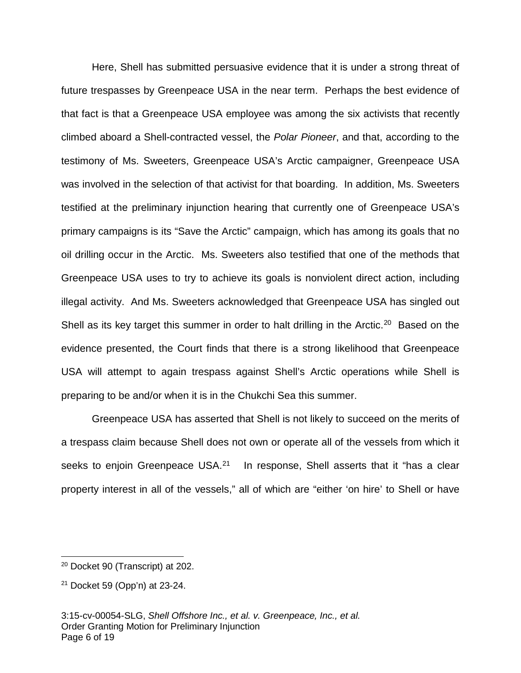Here, Shell has submitted persuasive evidence that it is under a strong threat of future trespasses by Greenpeace USA in the near term. Perhaps the best evidence of that fact is that a Greenpeace USA employee was among the six activists that recently climbed aboard a Shell-contracted vessel, the Polar Pioneer, and that, according to the testimony of Ms. Sweeters, Greenpeace USA's Arctic campaigner, Greenpeace USA was involved in the selection of that activist for that boarding. In addition, Ms. Sweeters testified at the preliminary injunction hearing that currently one of Greenpeace USA's primary campaigns is its "Save the Arctic" campaign, which has among its goals that no oil drilling occur in the Arctic. Ms. Sweeters also testified that one of the methods that Greenpeace USA uses to try to achieve its goals is nonviolent direct action, including illegal activity. And Ms. Sweeters acknowledged that Greenpeace USA has singled out Shell as its key target this summer in order to halt drilling in the Arctic.<sup>[20](#page-5-0)</sup> Based on the evidence presented, the Court finds that there is a strong likelihood that Greenpeace USA will attempt to again trespass against Shell's Arctic operations while Shell is preparing to be and/or when it is in the Chukchi Sea this summer.

Greenpeace USA has asserted that Shell is not likely to succeed on the merits of a trespass claim because Shell does not own or operate all of the vessels from which it seeks to enjoin Greenpeace USA. $21$  In response, Shell asserts that it "has a clear property interest in all of the vessels," all of which are "either 'on hire' to Shell or have

<span id="page-5-0"></span><sup>20</sup> Docket 90 (Transcript) at 202.

<span id="page-5-1"></span> $21$  Docket 59 (Opp'n) at 23-24.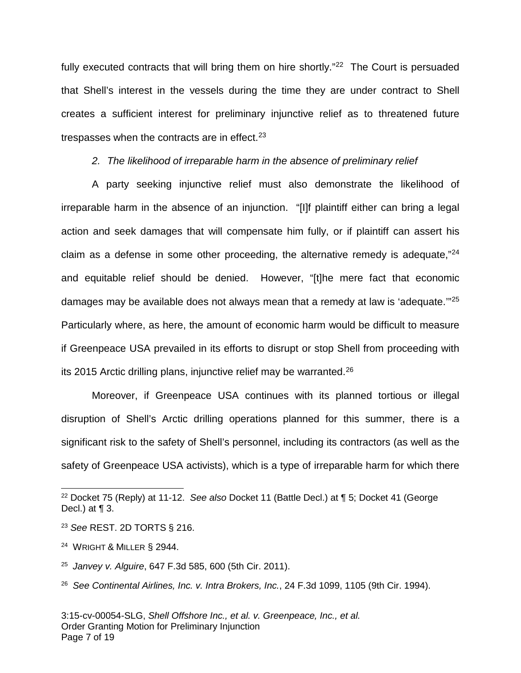fully executed contracts that will bring them on hire shortly."<sup>[22](#page-6-0)</sup> The Court is persuaded that Shell's interest in the vessels during the time they are under contract to Shell creates a sufficient interest for preliminary injunctive relief as to threatened future trespasses when the contracts are in effect.<sup>[23](#page-6-1)</sup>

2. The likelihood of irreparable harm in the absence of preliminary relief

A party seeking injunctive relief must also demonstrate the likelihood of irreparable harm in the absence of an injunction. "[I]f plaintiff either can bring a legal action and seek damages that will compensate him fully, or if plaintiff can assert his claim as a defense in some other proceeding, the alternative remedy is adequate,"[24](#page-6-2) and equitable relief should be denied. However, "[t]he mere fact that economic damages may be available does not always mean that a remedy at law is 'adequate."<sup>[25](#page-6-3)</sup> Particularly where, as here, the amount of economic harm would be difficult to measure if Greenpeace USA prevailed in its efforts to disrupt or stop Shell from proceeding with its 2015 Arctic drilling plans, injunctive relief may be warranted.<sup>[26](#page-6-4)</sup>

Moreover, if Greenpeace USA continues with its planned tortious or illegal disruption of Shell's Arctic drilling operations planned for this summer, there is a significant risk to the safety of Shell's personnel, including its contractors (as well as the safety of Greenpeace USA activists), which is a type of irreparable harm for which there

<span id="page-6-0"></span><sup>&</sup>lt;sup>22</sup> Docket 75 (Reply) at 11-12. See also Docket 11 (Battle Decl.) at  $\P$  5; Docket 41 (George Decl.) at  $\P$  3.

<span id="page-6-1"></span><sup>23</sup> See REST. 2D TORTS § 216.

<span id="page-6-2"></span> $24$  Wright & Miller § 2944.

<span id="page-6-3"></span><sup>&</sup>lt;sup>25</sup> Janvey v. Alguire, 647 F.3d 585, 600 (5th Cir. 2011).

<span id="page-6-4"></span> $26$  See Continental Airlines, Inc. v. Intra Brokers, Inc., 24 F.3d 1099, 1105 (9th Cir. 1994).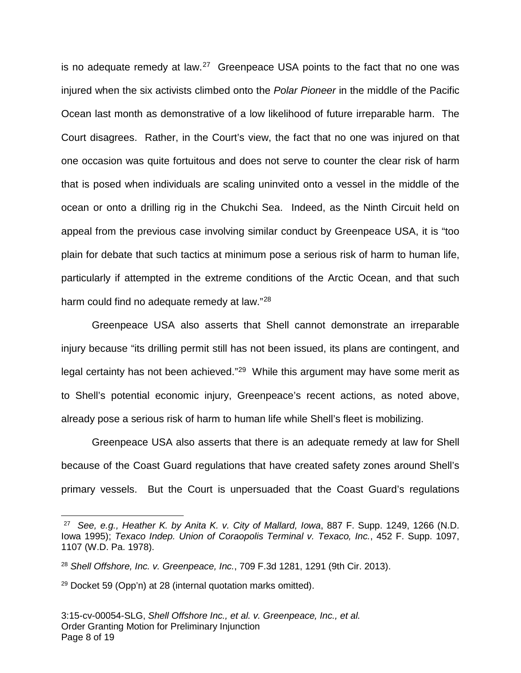is no adequate remedy at law.<sup>[27](#page-7-0)</sup> Greenpeace USA points to the fact that no one was injured when the six activists climbed onto the Polar Pioneer in the middle of the Pacific Ocean last month as demonstrative of a low likelihood of future irreparable harm. The Court disagrees. Rather, in the Court's view, the fact that no one was injured on that one occasion was quite fortuitous and does not serve to counter the clear risk of harm that is posed when individuals are scaling uninvited onto a vessel in the middle of the ocean or onto a drilling rig in the Chukchi Sea. Indeed, as the Ninth Circuit held on appeal from the previous case involving similar conduct by Greenpeace USA, it is "too plain for debate that such tactics at minimum pose a serious risk of harm to human life, particularly if attempted in the extreme conditions of the Arctic Ocean, and that such harm could find no adequate remedy at law."<sup>[28](#page-7-1)</sup>

Greenpeace USA also asserts that Shell cannot demonstrate an irreparable injury because "its drilling permit still has not been issued, its plans are contingent, and legal certainty has not been achieved."<sup>[29](#page-7-2)</sup> While this argument may have some merit as to Shell's potential economic injury, Greenpeace's recent actions, as noted above, already pose a serious risk of harm to human life while Shell's fleet is mobilizing.

Greenpeace USA also asserts that there is an adequate remedy at law for Shell because of the Coast Guard regulations that have created safety zones around Shell's primary vessels. But the Court is unpersuaded that the Coast Guard's regulations

<span id="page-7-0"></span><sup>&</sup>lt;sup>27</sup> See, e.g., Heather K. by Anita K. v. City of Mallard, Iowa, 887 F. Supp. 1249, 1266 (N.D. Iowa 1995); Texaco Indep. Union of Coraopolis Terminal v. Texaco, Inc., 452 F. Supp. 1097, 1107 (W.D. Pa. 1978).

<span id="page-7-1"></span> $28$  Shell Offshore, Inc. v. Greenpeace, Inc., 709 F.3d 1281, 1291 (9th Cir. 2013).

<span id="page-7-2"></span> $29$  Docket 59 (Opp'n) at 28 (internal quotation marks omitted).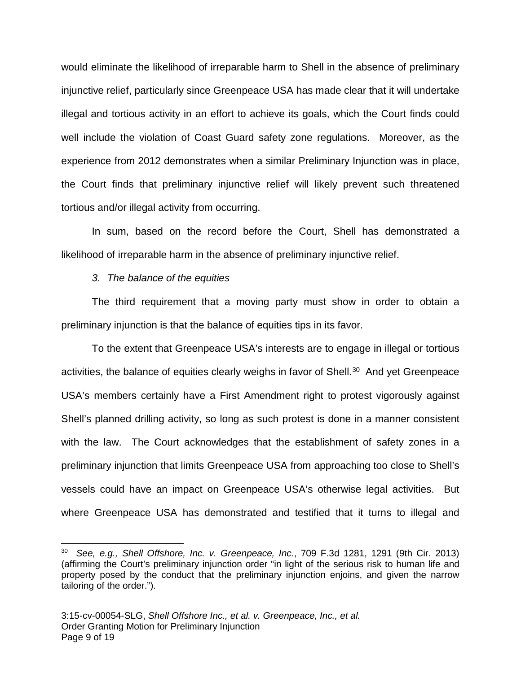would eliminate the likelihood of irreparable harm to Shell in the absence of preliminary injunctive relief, particularly since Greenpeace USA has made clear that it will undertake illegal and tortious activity in an effort to achieve its goals, which the Court finds could well include the violation of Coast Guard safety zone regulations. Moreover, as the experience from 2012 demonstrates when a similar Preliminary Injunction was in place, the Court finds that preliminary injunctive relief will likely prevent such threatened tortious and/or illegal activity from occurring.

In sum, based on the record before the Court, Shell has demonstrated a likelihood of irreparable harm in the absence of preliminary injunctive relief.

## 3. The balance of the equities

The third requirement that a moving party must show in order to obtain a preliminary injunction is that the balance of equities tips in its favor.

To the extent that Greenpeace USA's interests are to engage in illegal or tortious activities, the balance of equities clearly weighs in favor of Shell.<sup>[30](#page-8-0)</sup> And yet Greenpeace USA's members certainly have a First Amendment right to protest vigorously against Shell's planned drilling activity, so long as such protest is done in a manner consistent with the law. The Court acknowledges that the establishment of safety zones in a preliminary injunction that limits Greenpeace USA from approaching too close to Shell's vessels could have an impact on Greenpeace USA's otherwise legal activities. But where Greenpeace USA has demonstrated and testified that it turns to illegal and

<span id="page-8-0"></span> $30$  See, e.g., Shell Offshore, Inc. v. Greenpeace, Inc., 709 F.3d 1281, 1291 (9th Cir. 2013) (affirming the Court's preliminary injunction order "in light of the serious risk to human life and property posed by the conduct that the preliminary injunction enjoins, and given the narrow tailoring of the order.").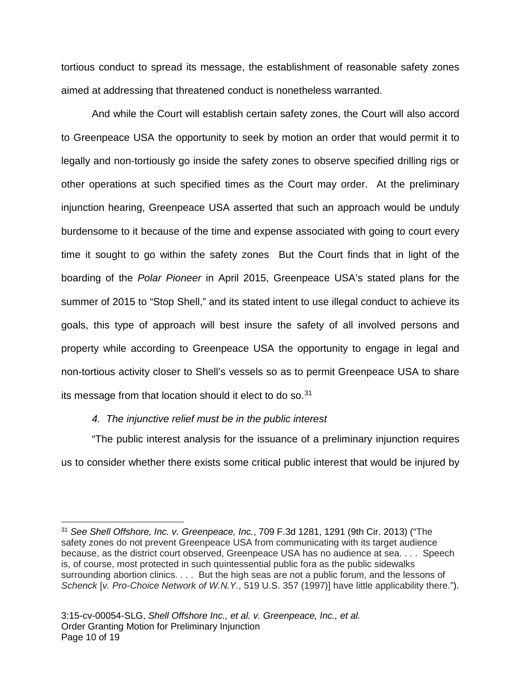tortious conduct to spread its message, the establishment of reasonable safety zones aimed at addressing that threatened conduct is nonetheless warranted.

And while the Court will establish certain safety zones, the Court will also accord to Greenpeace USA the opportunity to seek by motion an order that would permit it to legally and non-tortiously go inside the safety zones to observe specified drilling rigs or other operations at such specified times as the Court may order. At the preliminary injunction hearing, Greenpeace USA asserted that such an approach would be unduly burdensome to it because of the time and expense associated with going to court every time it sought to go within the safety zones But the Court finds that in light of the boarding of the Polar Pioneer in April 2015, Greenpeace USA's stated plans for the summer of 2015 to "Stop Shell," and its stated intent to use illegal conduct to achieve its goals, this type of approach will best insure the safety of all involved persons and property while according to Greenpeace USA the opportunity to engage in legal and non-tortious activity closer to Shell's vessels so as to permit Greenpeace USA to share its message from that location should it elect to do so. $31$ 

## 4. The injunctive relief must be in the public interest

-

"The public interest analysis for the issuance of a preliminary injunction requires us to consider whether there exists some critical public interest that would be injured by

<span id="page-9-0"></span><sup>&</sup>lt;sup>31</sup> See Shell Offshore, Inc. v. Greenpeace, Inc., 709 F.3d 1281, 1291 (9th Cir. 2013) ("The safety zones do not prevent Greenpeace USA from communicating with its target audience because, as the district court observed, Greenpeace USA has no audience at sea. . . . Speech is, of course, most protected in such quintessential public fora as the public sidewalks surrounding abortion clinics. . . . But the high seas are not a public forum, and the lessons of Schenck [v. Pro-Choice Network of W.N.Y., 519 U.S. 357 (1997)] have little applicability there.").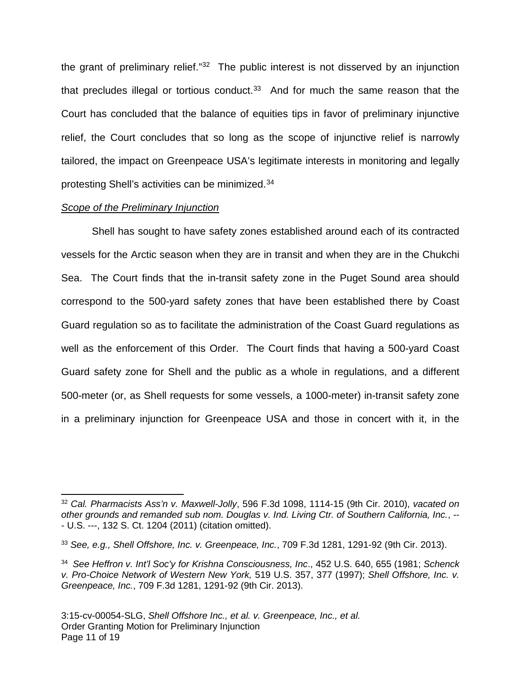the grant of preliminary relief."<sup>[32](#page-10-0)</sup> The public interest is not disserved by an injunction that precludes illegal or tortious conduct. $33$  And for much the same reason that the Court has concluded that the balance of equities tips in favor of preliminary injunctive relief, the Court concludes that so long as the scope of injunctive relief is narrowly tailored, the impact on Greenpeace USA's legitimate interests in monitoring and legally protesting Shell's activities can be minimized.<sup>[34](#page-10-2)</sup>

#### Scope of the Preliminary Injunction

 $\overline{a}$ 

Shell has sought to have safety zones established around each of its contracted vessels for the Arctic season when they are in transit and when they are in the Chukchi Sea. The Court finds that the in-transit safety zone in the Puget Sound area should correspond to the 500-yard safety zones that have been established there by Coast Guard regulation so as to facilitate the administration of the Coast Guard regulations as well as the enforcement of this Order. The Court finds that having a 500-yard Coast Guard safety zone for Shell and the public as a whole in regulations, and a different 500-meter (or, as Shell requests for some vessels, a 1000-meter) in-transit safety zone in a preliminary injunction for Greenpeace USA and those in concert with it, in the

<span id="page-10-0"></span> $32$  Cal. Pharmacists Ass'n v. Maxwell-Jolly, 596 F.3d 1098, 1114-15 (9th Cir. 2010), vacated on other grounds and remanded sub nom. Douglas v. Ind. Living Ctr. of Southern California, Inc., -- - U.S. ---, 132 S. Ct. 1204 (2011) (citation omitted).

<span id="page-10-1"></span> $33$  See, e.g., Shell Offshore, Inc. v. Greenpeace, Inc., 709 F.3d 1281, 1291-92 (9th Cir. 2013).

<span id="page-10-2"></span><sup>&</sup>lt;sup>34</sup> See Heffron v. Int'l Soc'y for Krishna Consciousness, Inc., 452 U.S. 640, 655 (1981; Schenck v. Pro-Choice Network of Western New York, 519 U.S. 357, 377 (1997); Shell Offshore, Inc. v. Greenpeace, Inc., 709 F.3d 1281, 1291-92 (9th Cir. 2013).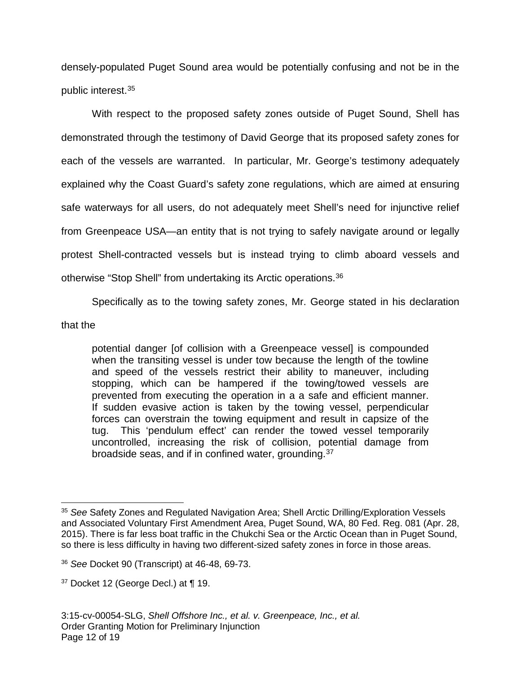densely-populated Puget Sound area would be potentially confusing and not be in the public interest. [35](#page-11-0)

With respect to the proposed safety zones outside of Puget Sound, Shell has demonstrated through the testimony of David George that its proposed safety zones for each of the vessels are warranted. In particular, Mr. George's testimony adequately explained why the Coast Guard's safety zone regulations, which are aimed at ensuring safe waterways for all users, do not adequately meet Shell's need for injunctive relief from Greenpeace USA—an entity that is not trying to safely navigate around or legally protest Shell-contracted vessels but is instead trying to climb aboard vessels and otherwise "Stop Shell" from undertaking its Arctic operations.<sup>[36](#page-11-1)</sup>

Specifically as to the towing safety zones, Mr. George stated in his declaration

that the

potential danger [of collision with a Greenpeace vessel] is compounded when the transiting vessel is under tow because the length of the towline and speed of the vessels restrict their ability to maneuver, including stopping, which can be hampered if the towing/towed vessels are prevented from executing the operation in a a safe and efficient manner. If sudden evasive action is taken by the towing vessel, perpendicular forces can overstrain the towing equipment and result in capsize of the tug. This 'pendulum effect' can render the towed vessel temporarily uncontrolled, increasing the risk of collision, potential damage from broadside seas, and if in confined water, grounding.<sup>[37](#page-11-2)</sup>

<span id="page-11-0"></span><sup>&</sup>lt;sup>35</sup> See Safety Zones and Regulated Navigation Area; Shell Arctic Drilling/Exploration Vessels and Associated Voluntary First Amendment Area, Puget Sound, WA, 80 Fed. Reg. 081 (Apr. 28, 2015). There is far less boat traffic in the Chukchi Sea or the Arctic Ocean than in Puget Sound, so there is less difficulty in having two different-sized safety zones in force in those areas. 

<span id="page-11-1"></span><sup>36</sup> See Docket 90 (Transcript) at 46-48, 69-73.

<span id="page-11-2"></span> $37$  Docket 12 (George Decl.) at  $\P$  19.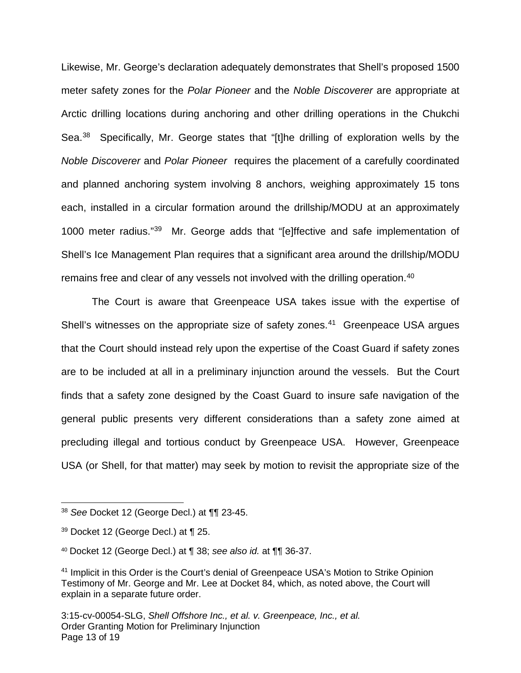Likewise, Mr. George's declaration adequately demonstrates that Shell's proposed 1500 meter safety zones for the Polar Pioneer and the Noble Discoverer are appropriate at Arctic drilling locations during anchoring and other drilling operations in the Chukchi Sea.<sup>[38](#page-12-0)</sup> Specifically, Mr. George states that "[t]he drilling of exploration wells by the Noble Discoverer and Polar Pioneer requires the placement of a carefully coordinated and planned anchoring system involving 8 anchors, weighing approximately 15 tons each, installed in a circular formation around the drillship/MODU at an approximately 1000 meter radius."[39](#page-12-1) Mr. George adds that "[e]ffective and safe implementation of Shell's Ice Management Plan requires that a significant area around the drillship/MODU remains free and clear of any vessels not involved with the drilling operation.[40](#page-12-2)

The Court is aware that Greenpeace USA takes issue with the expertise of Shell's witnesses on the appropriate size of safety zones.<sup>[41](#page-12-3)</sup> Greenpeace USA argues that the Court should instead rely upon the expertise of the Coast Guard if safety zones are to be included at all in a preliminary injunction around the vessels. But the Court finds that a safety zone designed by the Coast Guard to insure safe navigation of the general public presents very different considerations than a safety zone aimed at precluding illegal and tortious conduct by Greenpeace USA. However, Greenpeace USA (or Shell, for that matter) may seek by motion to revisit the appropriate size of the

<span id="page-12-0"></span><sup>38</sup> See Docket 12 (George Decl.) at ¶¶ 23-45. 

<span id="page-12-1"></span> $39$  Docket 12 (George Decl.) at  $\P$  25.

<span id="page-12-2"></span><sup>40</sup> Docket 12 (George Decl.) at ¶ 38; see also id. at ¶¶ 36-37.

<span id="page-12-3"></span><sup>&</sup>lt;sup>41</sup> Implicit in this Order is the Court's denial of Greenpeace USA's Motion to Strike Opinion Testimony of Mr. George and Mr. Lee at Docket 84, which, as noted above, the Court will explain in a separate future order.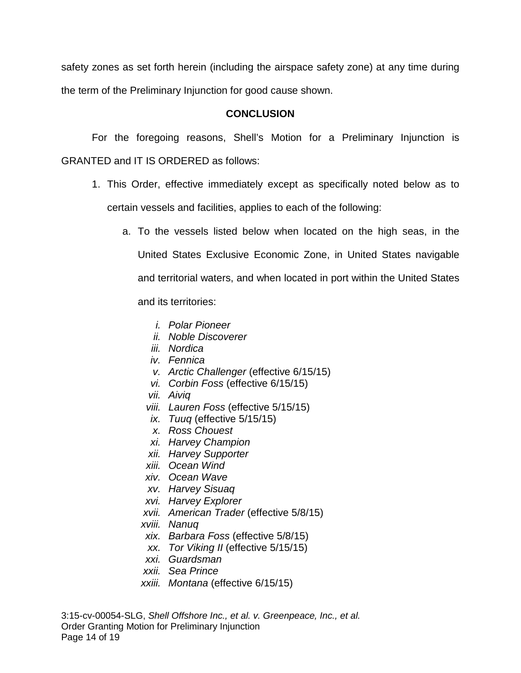safety zones as set forth herein (including the airspace safety zone) at any time during the term of the Preliminary Injunction for good cause shown.

### **CONCLUSION**

For the foregoing reasons, Shell's Motion for a Preliminary Injunction is GRANTED and IT IS ORDERED as follows:

- 1. This Order, effective immediately except as specifically noted below as to certain vessels and facilities, applies to each of the following:
	- a. To the vessels listed below when located on the high seas, in the United States Exclusive Economic Zone, in United States navigable and territorial waters, and when located in port within the United States

and its territories:

- i. Polar Pioneer
- ii. Noble Discoverer
- iii. Nordica
- iv. Fennica
- v. Arctic Challenger (effective 6/15/15)
- vi. Corbin Foss (effective 6/15/15)
- vii. Aiviq
- viii. Lauren Foss (effective 5/15/15)
- ix. Tuuq (effective 5/15/15)
- x. Ross Chouest
- xi. Harvey Champion
- xii. Harvey Supporter
- xiii. Ocean Wind
- xiv. Ocean Wave
- xv. Harvey Sisuaq
- xvi. Harvey Explorer
- xvii. American Trader (effective 5/8/15)
- xviii. Nanuq
- xix. Barbara Foss (effective 5/8/15)
- xx. Tor Viking II (effective 5/15/15)
- xxi. Guardsman
- xxii. Sea Prince
- xxiii. Montana (effective 6/15/15)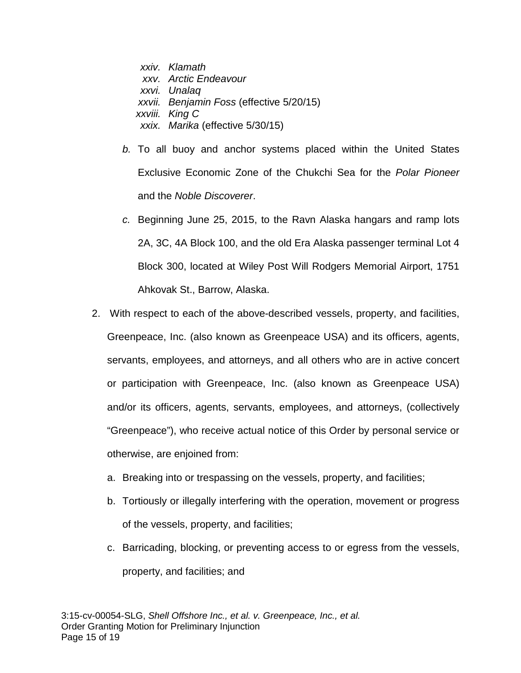xxiv. Klamath xxv. Arctic Endeavour xxvi. Unalaq xxvii. Benjamin Foss (effective 5/20/15) xxviii. King C xxix. Marika (effective 5/30/15)

- b. To all buoy and anchor systems placed within the United States Exclusive Economic Zone of the Chukchi Sea for the Polar Pioneer and the Noble Discoverer.
- c. Beginning June 25, 2015, to the Ravn Alaska hangars and ramp lots 2A, 3C, 4A Block 100, and the old Era Alaska passenger terminal Lot 4 Block 300, located at Wiley Post Will Rodgers Memorial Airport, 1751 Ahkovak St., Barrow, Alaska.
- 2. With respect to each of the above-described vessels, property, and facilities, Greenpeace, Inc. (also known as Greenpeace USA) and its officers, agents, servants, employees, and attorneys, and all others who are in active concert or participation with Greenpeace, Inc. (also known as Greenpeace USA) and/or its officers, agents, servants, employees, and attorneys, (collectively "Greenpeace"), who receive actual notice of this Order by personal service or otherwise, are enjoined from:
	- a. Breaking into or trespassing on the vessels, property, and facilities;
	- b. Tortiously or illegally interfering with the operation, movement or progress of the vessels, property, and facilities;
	- c. Barricading, blocking, or preventing access to or egress from the vessels, property, and facilities; and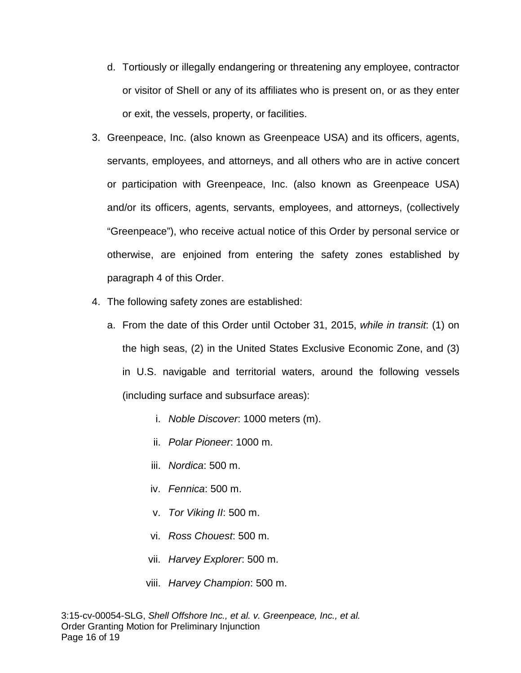- d. Tortiously or illegally endangering or threatening any employee, contractor or visitor of Shell or any of its affiliates who is present on, or as they enter or exit, the vessels, property, or facilities.
- 3. Greenpeace, Inc. (also known as Greenpeace USA) and its officers, agents, servants, employees, and attorneys, and all others who are in active concert or participation with Greenpeace, Inc. (also known as Greenpeace USA) and/or its officers, agents, servants, employees, and attorneys, (collectively "Greenpeace"), who receive actual notice of this Order by personal service or otherwise, are enjoined from entering the safety zones established by paragraph 4 of this Order.
- 4. The following safety zones are established:
	- a. From the date of this Order until October 31, 2015, while in transit: (1) on the high seas, (2) in the United States Exclusive Economic Zone, and (3) in U.S. navigable and territorial waters, around the following vessels (including surface and subsurface areas):
		- i. Noble Discover: 1000 meters (m).
		- ii. Polar Pioneer: 1000 m.
		- iii. Nordica: 500 m.
		- iv. Fennica: 500 m.
		- v. Tor Viking II: 500 m.
		- vi. Ross Chouest: 500 m.
		- vii. Harvey Explorer: 500 m.
		- viii. Harvey Champion: 500 m.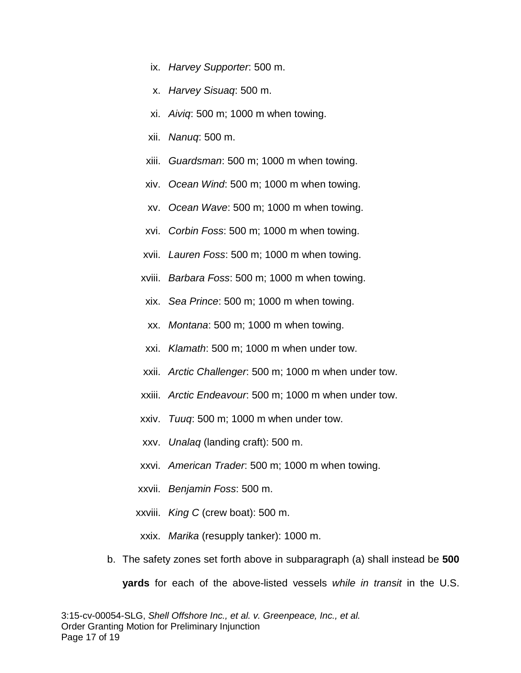- ix. Harvey Supporter: 500 m.
- x. Harvey Sisuaq: 500 m.
- xi. Aiviq: 500 m; 1000 m when towing.
- xii. Nanuq: 500 m.
- xiii. Guardsman: 500 m; 1000 m when towing.
- xiv. Ocean Wind: 500 m; 1000 m when towing.
- xv. Ocean Wave: 500 m; 1000 m when towing.
- xvi. Corbin Foss: 500 m; 1000 m when towing.
- xvii. Lauren Foss: 500 m; 1000 m when towing.
- xviii. Barbara Foss: 500 m; 1000 m when towing.
- xix. Sea Prince: 500 m; 1000 m when towing.
- xx. Montana: 500 m; 1000 m when towing.
- xxi. Klamath: 500 m; 1000 m when under tow.
- xxii. Arctic Challenger: 500 m; 1000 m when under tow.
- xxiii. Arctic Endeavour: 500 m; 1000 m when under tow.
- xxiv. Tuuq: 500 m; 1000 m when under tow.
- xxv. Unalaq (landing craft): 500 m.
- xxvi. American Trader: 500 m; 1000 m when towing.
- xxvii. Benjamin Foss: 500 m.
- xxviii. King C (crew boat): 500 m.
- xxix. Marika (resupply tanker): 1000 m.
- b. The safety zones set forth above in subparagraph (a) shall instead be **500 yards** for each of the above-listed vessels while in transit in the U.S.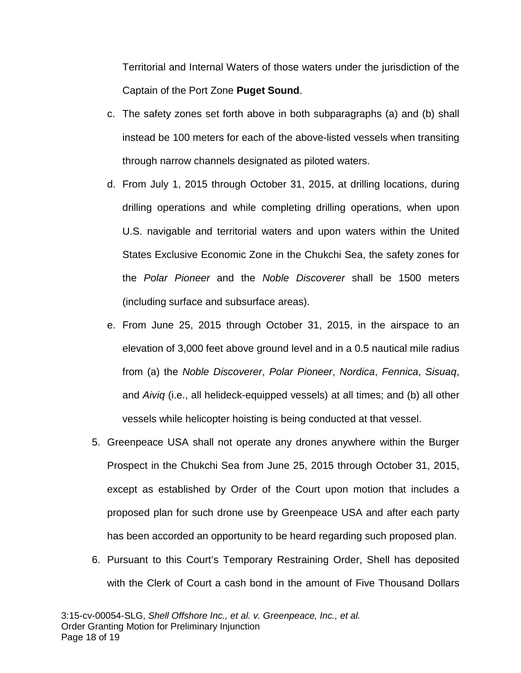Territorial and Internal Waters of those waters under the jurisdiction of the Captain of the Port Zone **Puget Sound**.

- c. The safety zones set forth above in both subparagraphs (a) and (b) shall instead be 100 meters for each of the above-listed vessels when transiting through narrow channels designated as piloted waters.
- d. From July 1, 2015 through October 31, 2015, at drilling locations, during drilling operations and while completing drilling operations, when upon U.S. navigable and territorial waters and upon waters within the United States Exclusive Economic Zone in the Chukchi Sea, the safety zones for the Polar Pioneer and the Noble Discoverer shall be 1500 meters (including surface and subsurface areas).
- e. From June 25, 2015 through October 31, 2015, in the airspace to an elevation of 3,000 feet above ground level and in a 0.5 nautical mile radius from (a) the Noble Discoverer, Polar Pioneer, Nordica, Fennica, Sisuaq, and Aiviq (i.e., all helideck-equipped vessels) at all times; and (b) all other vessels while helicopter hoisting is being conducted at that vessel.
- 5. Greenpeace USA shall not operate any drones anywhere within the Burger Prospect in the Chukchi Sea from June 25, 2015 through October 31, 2015, except as established by Order of the Court upon motion that includes a proposed plan for such drone use by Greenpeace USA and after each party has been accorded an opportunity to be heard regarding such proposed plan.
- 6. Pursuant to this Court's Temporary Restraining Order, Shell has deposited with the Clerk of Court a cash bond in the amount of Five Thousand Dollars